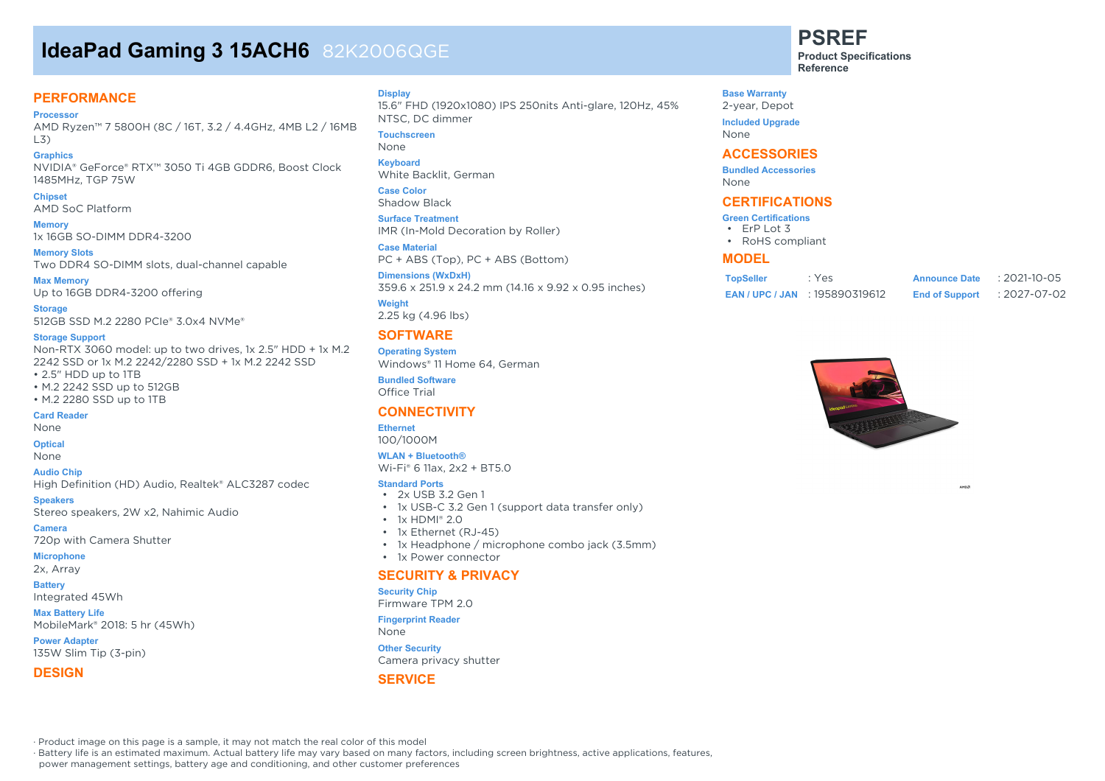# **IdeaPad Gaming 3 15ACH6** 82K2006QGE

### **PERFORMANCE**

**Processor**

AMD Ryzen™ 7 5800H (8C / 16T, 3.2 / 4.4GHz, 4MB L2 / 16MB L3)

**Graphics** NVIDIA® GeForce® RTX™ 3050 Ti 4GB GDDR6, Boost Clock 1485MHz, TGP 75W

**Chipset** AMD SoC Platform

**Memory** 1x 16GB SO-DIMM DDR4-3200

**Memory Slots** Two DDR4 SO-DIMM slots, dual-channel capable

**Max Memory** Up to 16GB DDR4-3200 offering

**Storage** 512GB SSD M.2 2280 PCIe® 3.0x4 NVMe®

#### **Storage Support**

Non-RTX 3060 model: up to two drives, 1x 2.5" HDD + 1x M.2 2242 SSD or 1x M.2 2242/2280 SSD + 1x M.2 2242 SSD • 2.5" HDD up to 1TB

- M.2 2242 SSD up to 512GB
- M.2 2280 SSD up to 1TB

#### **Card Reader**

None

#### **Optical**

None

**Audio Chip**

High Definition (HD) Audio, Realtek® ALC3287 codec

**Speakers**

Stereo speakers, 2W x2, Nahimic Audio

**Camera**

720p with Camera Shutter **Microphone**

2x, Array

**Battery** Integrated 45Wh

**Max Battery Life** MobileMark® 2018: 5 hr (45Wh)

**Power Adapter** 135W Slim Tip (3-pin)

#### **DESIGN**

**Display**

15.6" FHD (1920x1080) IPS 250nits Anti-glare, 120Hz, 45% NTSC, DC dimmer

**Touchscreen**

None

**Keyboard** White Backlit, German

**Case Color** Shadow Black

**Surface Treatment** IMR (In-Mold Decoration by Roller)

**Case Material** PC + ABS (Top), PC + ABS (Bottom)

**Dimensions (WxDxH)** 359.6 x 251.9 x 24.2 mm (14.16 x 9.92 x 0.95 inches)

**Weight** 2.25 kg (4.96 lbs)

#### **SOFTWARE**

**Operating System** Windows® 11 Home 64, German

**Bundled Software** Office Trial

### **CONNECTIVITY**

#### **Ethernet**

100/1000M

### **WLAN + Bluetooth®**

Wi-Fi® 6 11ax, 2x2 + BT5.0

- **Standard Ports**
- 2x USB 3.2 Gen 1
- 1x USB-C 3.2 Gen 1 (support data transfer only)
- $\cdot$  1x HDMI® 2.0
- 1x Ethernet (RJ-45)
- 1x Headphone / microphone combo jack (3.5mm)
- 1x Power connector

#### **SECURITY & PRIVACY**

#### **Security Chip**

Firmware TPM 2.0

**Fingerprint Reader**

Camera privacy shutter

#### **SERVICE**

**PSREF**

**Product Specifications Reference**

**Base Warranty** 2-year, Depot **Included Upgrade** None

#### **ACCESSORIES**

**Bundled Accessories** None

#### **CERTIFICATIONS**

- **Green Certifications**
- ErP Lot 3
- RoHS compliant

#### **MODEL**

| <b>TopSeller</b> | : Yes                             | <b>Announce Date</b>  | $: 2021 - 10 - 05$ |
|------------------|-----------------------------------|-----------------------|--------------------|
|                  | <b>EAN/UPC/JAN : 195890319612</b> | <b>End of Support</b> | : 2027-07-02       |



· Product image on this page is a sample, it may not match the real color of this model

· Battery life is an estimated maximum. Actual battery life may vary based on many factors, including screen brightness, active applications, features,

power management settings, battery age and conditioning, and other customer preferences